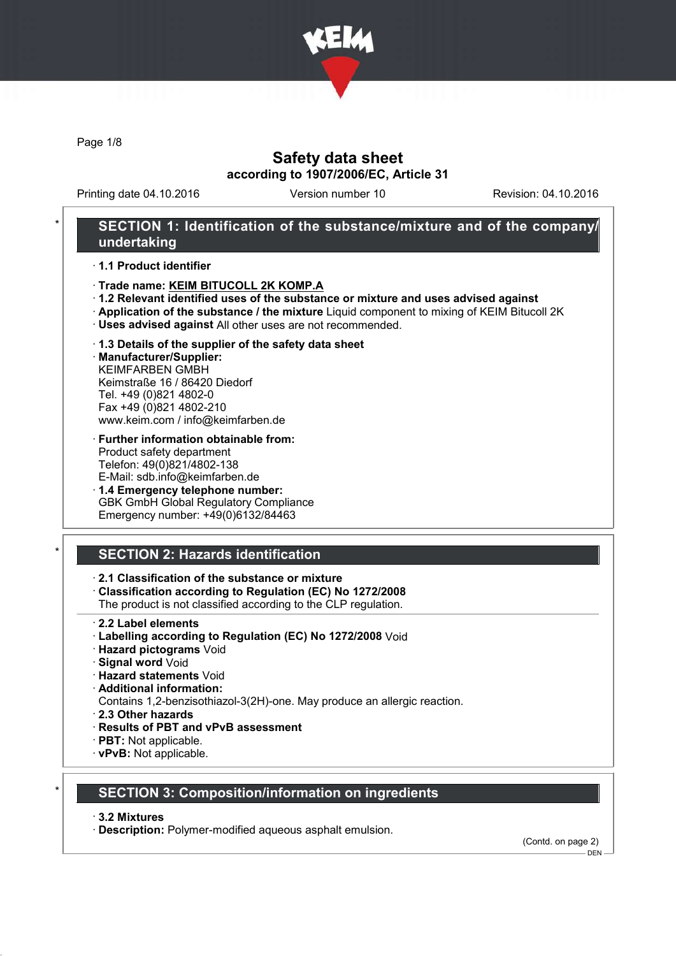

Page 1/8

# Safety data sheet according to 1907/2006/EC, Article 31

Printing date 04.10.2016 Version number 10 Revision: 04.10.2016

## SECTION 1: Identification of the substance/mixture and of the company/ undertaking

· 1.1 Product identifier

- · Trade name: KEIM BITUCOLL 2K KOMP.A
- · 1.2 Relevant identified uses of the substance or mixture and uses advised against
- · Application of the substance / the mixture Liquid component to mixing of KEIM Bitucoll 2K
- · Uses advised against All other uses are not recommended.
- · 1.3 Details of the supplier of the safety data sheet

· Manufacturer/Supplier: KEIMFARBEN GMBH Keimstraße 16 / 86420 Diedorf Tel. +49 (0)821 4802-0 Fax +49 (0)821 4802-210 www.keim.com / info@keimfarben.de

- · Further information obtainable from: Product safety department Telefon: 49(0)821/4802-138 E-Mail: sdb.info@keimfarben.de
- · 1.4 Emergency telephone number: GBK GmbH Global Regulatory Compliance Emergency number: +49(0)6132/84463

# **SECTION 2: Hazards identification**

#### · 2.1 Classification of the substance or mixture

· Classification according to Regulation (EC) No 1272/2008

The product is not classified according to the CLP regulation.

- 2.2 Label elements
- · Labelling according to Regulation (EC) No 1272/2008 Void
- · Hazard pictograms Void
- · Signal word Void
- · Hazard statements Void
- · Additional information:
- Contains 1,2-benzisothiazol-3(2H)-one. May produce an allergic reaction.

· 2.3 Other hazards

- · Results of PBT and vPvB assessment
- · PBT: Not applicable.
- · vPvB: Not applicable.

## **SECTION 3: Composition/information on ingredients**

#### · 3.2 Mixtures

· Description: Polymer-modified aqueous asphalt emulsion.

(Contd. on page 2)

 $-$  DEN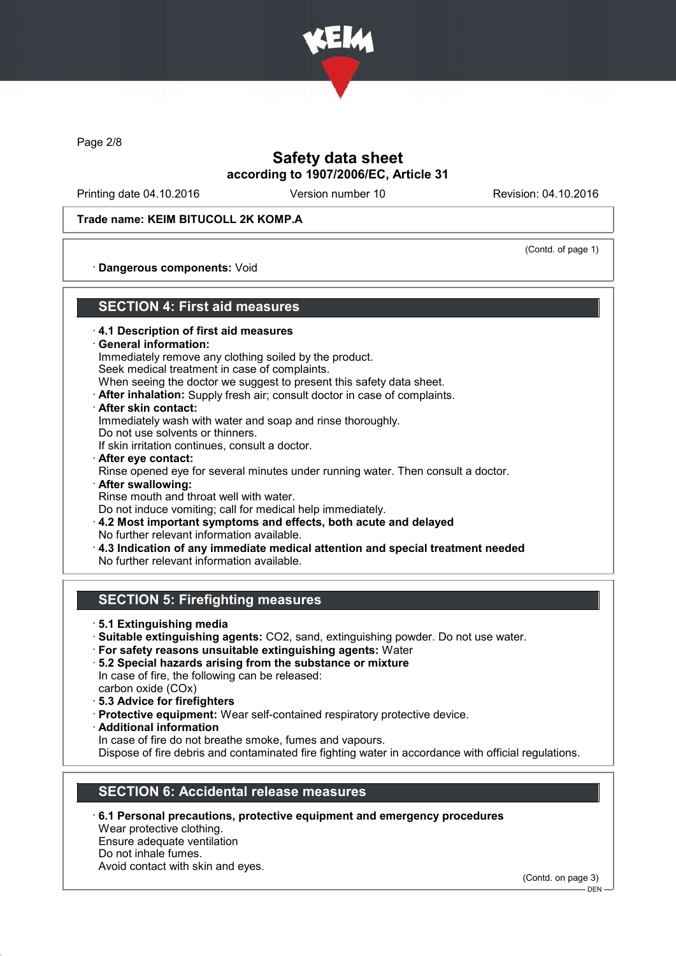

Page 2/8

# Safety data sheet according to 1907/2006/EC, Article 31

Printing date 04.10.2016 Version number 10 Revision: 04.10.2016

Trade name: KEIM BITUCOLL 2K KOMP.A

(Contd. of page 1)

· Dangerous components: Void

## SECTION 4: First aid measures

- · 4.1 Description of first aid measures
- · General information:

Immediately remove any clothing soiled by the product. Seek medical treatment in case of complaints.

When seeing the doctor we suggest to present this safety data sheet.

· After inhalation: Supply fresh air; consult doctor in case of complaints.

After skin contact:

Immediately wash with water and soap and rinse thoroughly.

Do not use solvents or thinners.

If skin irritation continues, consult a doctor.

- · After eye contact: Rinse opened eye for several minutes under running water. Then consult a doctor.
- After swallowing: Rinse mouth and throat well with water.

Do not induce vomiting; call for medical help immediately.

- · 4.2 Most important symptoms and effects, both acute and delayed No further relevant information available.
- · 4.3 Indication of any immediate medical attention and special treatment needed
- No further relevant information available.

# SECTION 5: Firefighting measures

- · 5.1 Extinguishing media
- · Suitable extinguishing agents: CO2, sand, extinguishing powder. Do not use water.
- · For safety reasons unsuitable extinguishing agents: Water
- · 5.2 Special hazards arising from the substance or mixture In case of fire, the following can be released: carbon oxide (COx)
- · 5.3 Advice for firefighters
- · Protective equipment: Wear self-contained respiratory protective device.
- · Additional information
- In case of fire do not breathe smoke, fumes and vapours.

Dispose of fire debris and contaminated fire fighting water in accordance with official regulations.

# SECTION 6: Accidental release measures

· 6.1 Personal precautions, protective equipment and emergency procedures Wear protective clothing.

Ensure adequate ventilation Do not inhale fumes.

Avoid contact with skin and eyes.

(Contd. on page 3)

DEN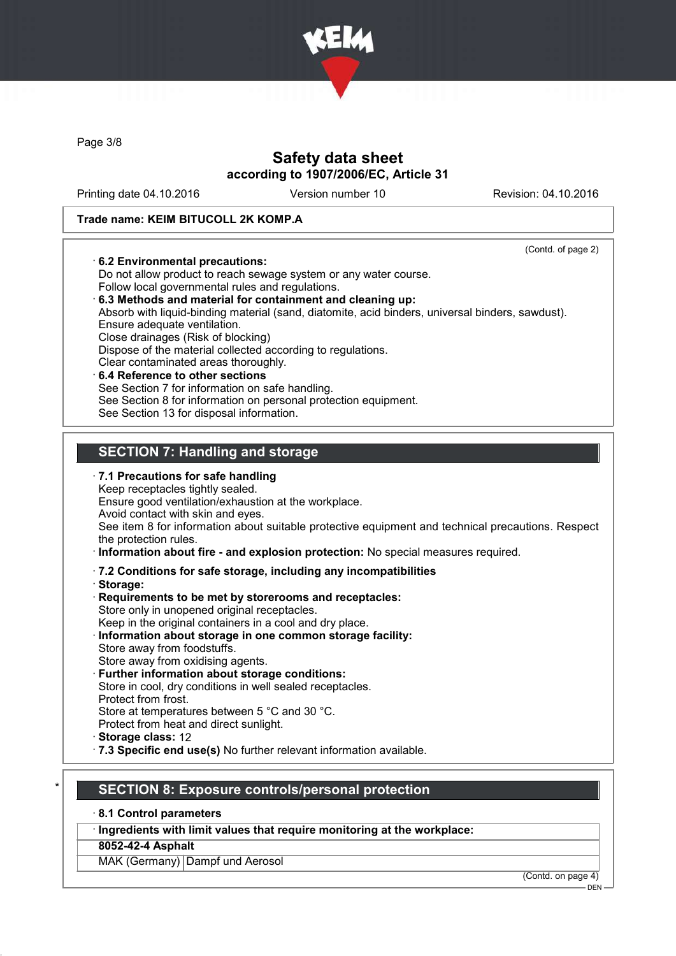

Page 3/8

# Safety data sheet according to 1907/2006/EC, Article 31

Printing date 04.10.2016 Version number 10 Revision: 04.10.2016

#### Trade name: KEIM BITUCOLL 2K KOMP.A

· 6.2 Environmental precautions:

(Contd. of page 2)

## Do not allow product to reach sewage system or any water course. Follow local governmental rules and regulations. · 6.3 Methods and material for containment and cleaning up: Absorb with liquid-binding material (sand, diatomite, acid binders, universal binders, sawdust). Ensure adequate ventilation. Close drainages (Risk of blocking) Dispose of the material collected according to regulations. Clear contaminated areas thoroughly. 6.4 Reference to other sections See Section 7 for information on safe handling. See Section 8 for information on personal protection equipment. See Section 13 for disposal information.

# SECTION 7: Handling and storage

 $\cdot$  7.1 Precautions for safe handling Keep receptacles tightly sealed. Ensure good ventilation/exhaustion at the workplace. Avoid contact with skin and eyes. See item 8 for information about suitable protective equipment and technical precautions. Respect the protection rules.

- · Information about fire and explosion protection: No special measures required.
- · 7.2 Conditions for safe storage, including any incompatibilities
- · Storage:
- · Requirements to be met by storerooms and receptacles: Store only in unopened original receptacles. Keep in the original containers in a cool and dry place.
- Information about storage in one common storage facility: Store away from foodstuffs.
- Store away from oxidising agents.
- Further information about storage conditions: Store in cool, dry conditions in well sealed receptacles. Protect from frost. Store at temperatures between 5 °C and 30 °C. Protect from heat and direct sunlight.
- · Storage class: 12
- · 7.3 Specific end use(s) No further relevant information available.

## SECTION 8: Exposure controls/personal protection

· 8.1 Control parameters

· Ingredients with limit values that require monitoring at the workplace:

#### 8052-42-4 Asphalt

MAK (Germany) Dampf und Aerosol

(Contd. on page 4)

DEN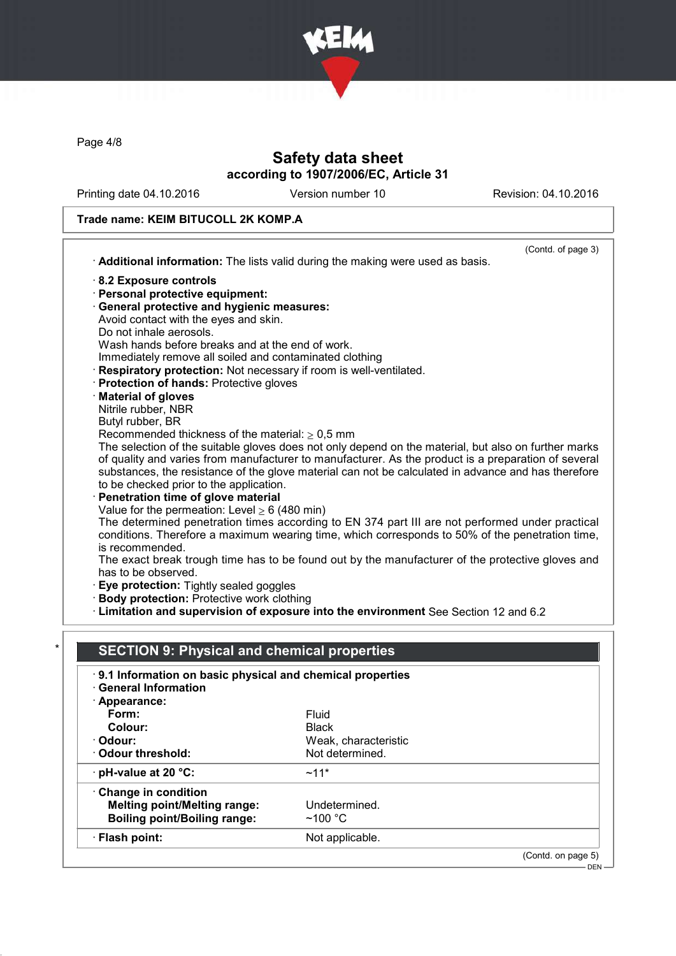

Page 4/8

# Safety data sheet according to 1907/2006/EC, Article 31

Printing date 04.10.2016 Version number 10 Revision: 04.10.2016

DEN

# Trade name: KEIM BITUCOLL 2K KOMP.A

|                                                                   | (Contd. of page 3)                                                                                            |
|-------------------------------------------------------------------|---------------------------------------------------------------------------------------------------------------|
|                                                                   |                                                                                                               |
|                                                                   | Additional information: The lists valid during the making were used as basis.                                 |
| 8.2 Exposure controls                                             |                                                                                                               |
| · Personal protective equipment:                                  |                                                                                                               |
| · General protective and hygienic measures:                       |                                                                                                               |
| Avoid contact with the eyes and skin.                             |                                                                                                               |
| Do not inhale aerosols.                                           |                                                                                                               |
| Wash hands before breaks and at the end of work.                  |                                                                                                               |
| Immediately remove all soiled and contaminated clothing           |                                                                                                               |
| Respiratory protection: Not necessary if room is well-ventilated. |                                                                                                               |
| Protection of hands: Protective gloves                            |                                                                                                               |
| <b>Material of gloves</b>                                         |                                                                                                               |
| Nitrile rubber, NBR                                               |                                                                                                               |
| Butyl rubber, BR                                                  |                                                                                                               |
| Recommended thickness of the material: $\geq 0.5$ mm              | The selection of the suitable gloves does not only depend on the material, but also on further marks          |
|                                                                   | of quality and varies from manufacturer to manufacturer. As the product is a preparation of several           |
|                                                                   | substances, the resistance of the glove material can not be calculated in advance and has therefore           |
| to be checked prior to the application.                           |                                                                                                               |
| · Penetration time of glove material                              |                                                                                                               |
| Value for the permeation: Level $\geq 6$ (480 min)                |                                                                                                               |
|                                                                   | The determined penetration times according to EN 374 part III are not performed under practical               |
|                                                                   | conditions. Therefore a maximum wearing time, which corresponds to 50% of the penetration time,               |
|                                                                   |                                                                                                               |
| is recommended.                                                   |                                                                                                               |
|                                                                   |                                                                                                               |
| has to be observed.                                               |                                                                                                               |
| · Eye protection: Tightly sealed goggles                          |                                                                                                               |
| · Body protection: Protective work clothing                       |                                                                                                               |
|                                                                   | Limitation and supervision of exposure into the environment See Section 12 and 6.2                            |
|                                                                   |                                                                                                               |
|                                                                   |                                                                                                               |
| <b>SECTION 9: Physical and chemical properties</b>                |                                                                                                               |
| 9.1 Information on basic physical and chemical properties         |                                                                                                               |
| <b>General Information</b>                                        |                                                                                                               |
| · Appearance:                                                     |                                                                                                               |
| Form:                                                             | Fluid                                                                                                         |
| Colour:                                                           | <b>Black</b>                                                                                                  |
| · Odour:                                                          | Weak, characteristic                                                                                          |
| <b>Odour threshold:</b>                                           | Not determined.                                                                                               |
| pH-value at 20 °C:                                                | $~11*$                                                                                                        |
| Change in condition                                               |                                                                                                               |
| <b>Melting point/Melting range:</b>                               | Undetermined.                                                                                                 |
| <b>Boiling point/Boiling range:</b>                               | The exact break trough time has to be found out by the manufacturer of the protective gloves and<br>$~100$ °C |
| · Flash point:                                                    | Not applicable.                                                                                               |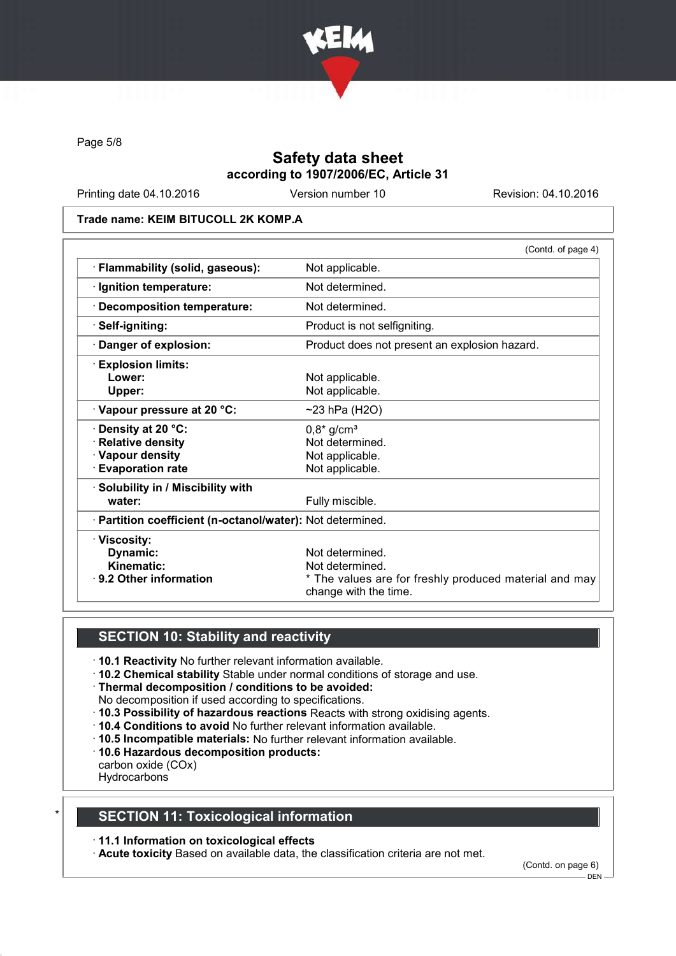

Page 5/8

# Safety data sheet according to 1907/2006/EC, Article 31

Printing date 04.10.2016 Version number 10 Revision: 04.10.2016

#### Trade name: KEIM BITUCOLL 2K KOMP.A

|                                                            | (Contd. of page 4)                                                              |
|------------------------------------------------------------|---------------------------------------------------------------------------------|
| · Flammability (solid, gaseous):                           | Not applicable.                                                                 |
| · Ignition temperature:                                    | Not determined.                                                                 |
| · Decomposition temperature:                               | Not determined.                                                                 |
| · Self-igniting:                                           | Product is not selfigniting.                                                    |
| Danger of explosion:                                       | Product does not present an explosion hazard.                                   |
| <b>Explosion limits:</b>                                   |                                                                                 |
| Lower:                                                     | Not applicable.                                                                 |
| Upper:                                                     | Not applicable.                                                                 |
| Vapour pressure at 20 °C:                                  | $~23$ hPa (H2O)                                                                 |
| <b>⋅Density at 20 °C:</b>                                  | $0,8^*$ g/cm <sup>3</sup>                                                       |
| · Relative density                                         | Not determined.                                                                 |
| · Vapour density                                           | Not applicable.                                                                 |
| <b>Evaporation rate</b>                                    | Not applicable.                                                                 |
| · Solubility in / Miscibility with                         |                                                                                 |
| water:                                                     | Fully miscible.                                                                 |
| · Partition coefficient (n-octanol/water): Not determined. |                                                                                 |
| · Viscosity:                                               |                                                                                 |
| Dynamic:                                                   | Not determined.                                                                 |
| Kinematic:                                                 | Not determined.                                                                 |
| ⋅ 9.2 Other information                                    | * The values are for freshly produced material and may<br>change with the time. |

## SECTION 10: Stability and reactivity

- · 10.1 Reactivity No further relevant information available.
- · 10.2 Chemical stability Stable under normal conditions of storage and use.
- · Thermal decomposition / conditions to be avoided:
- No decomposition if used according to specifications.
- · 10.3 Possibility of hazardous reactions Reacts with strong oxidising agents.
- · 10.4 Conditions to avoid No further relevant information available.
- · 10.5 Incompatible materials: No further relevant information available.
- · 10.6 Hazardous decomposition products:
- carbon oxide (COx)
- **Hydrocarbons**

# **SECTION 11: Toxicological information**

#### · 11.1 Information on toxicological effects

· Acute toxicity Based on available data, the classification criteria are not met.

(Contd. on page 6)

DEN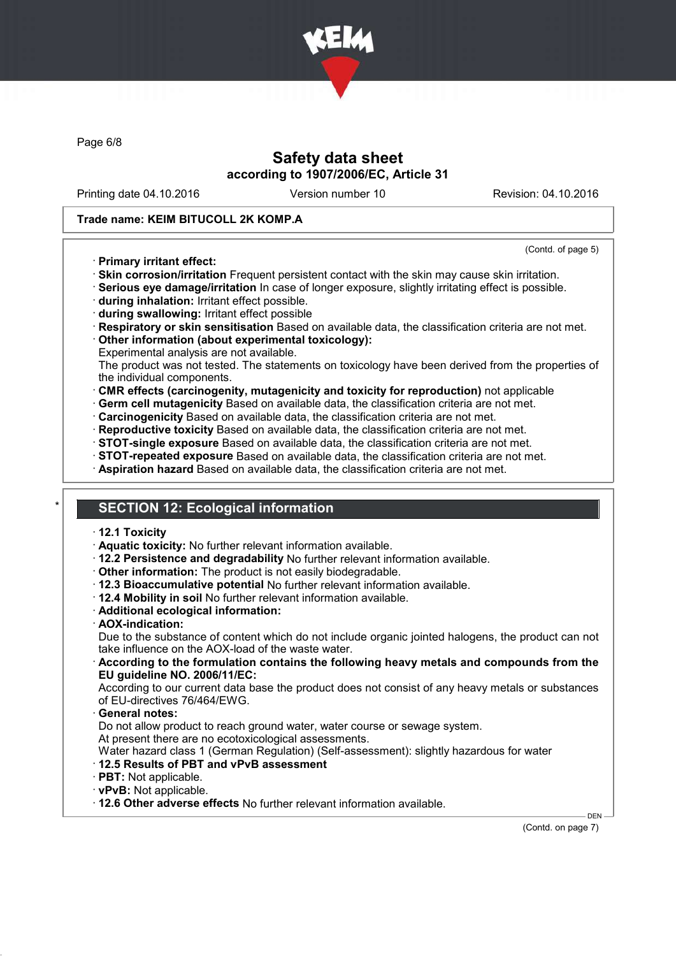

Page 6/8

# Safety data sheet according to 1907/2006/EC, Article 31

Printing date 04.10.2016 Version number 10 Revision: 04.10.2016

(Contd. of page 5)

#### Trade name: KEIM BITUCOLL 2K KOMP.A

#### · Primary irritant effect:

- · Skin corrosion/irritation Frequent persistent contact with the skin may cause skin irritation.
- · Serious eye damage/irritation In case of longer exposure, slightly irritating effect is possible.
- · during inhalation: Irritant effect possible.
- · during swallowing: Irritant effect possible
- · Respiratory or skin sensitisation Based on available data, the classification criteria are not met.

· Other information (about experimental toxicology):

Experimental analysis are not available.

The product was not tested. The statements on toxicology have been derived from the properties of the individual components.

- · CMR effects (carcinogenity, mutagenicity and toxicity for reproduction) not applicable
- · Germ cell mutagenicity Based on available data, the classification criteria are not met.
- · Carcinogenicity Based on available data, the classification criteria are not met.
- · Reproductive toxicity Based on available data, the classification criteria are not met.
- · STOT-single exposure Based on available data, the classification criteria are not met.
- · STOT-repeated exposure Based on available data, the classification criteria are not met.
- · Aspiration hazard Based on available data, the classification criteria are not met.

# **SECTION 12: Ecological information**

- · 12.1 Toxicity
- · Aquatic toxicity: No further relevant information available.
- · 12.2 Persistence and degradability No further relevant information available.
- · Other information: The product is not easily biodegradable.
- · 12.3 Bioaccumulative potential No further relevant information available.
- · 12.4 Mobility in soil No further relevant information available.
- · Additional ecological information:
- · AOX-indication:

Due to the substance of content which do not include organic jointed halogens, the product can not take influence on the AOX-load of the waste water.

· According to the formulation contains the following heavy metals and compounds from the EU guideline NO. 2006/11/EC:

According to our current data base the product does not consist of any heavy metals or substances of EU-directives 76/464/EWG.

#### General notes:

Do not allow product to reach ground water, water course or sewage system.

At present there are no ecotoxicological assessments.

Water hazard class 1 (German Regulation) (Self-assessment): slightly hazardous for water

- · 12.5 Results of PBT and vPvB assessment
- · PBT: Not applicable.
- · vPvB: Not applicable.
- · 12.6 Other adverse effects No further relevant information available.

DEN (Contd. on page 7)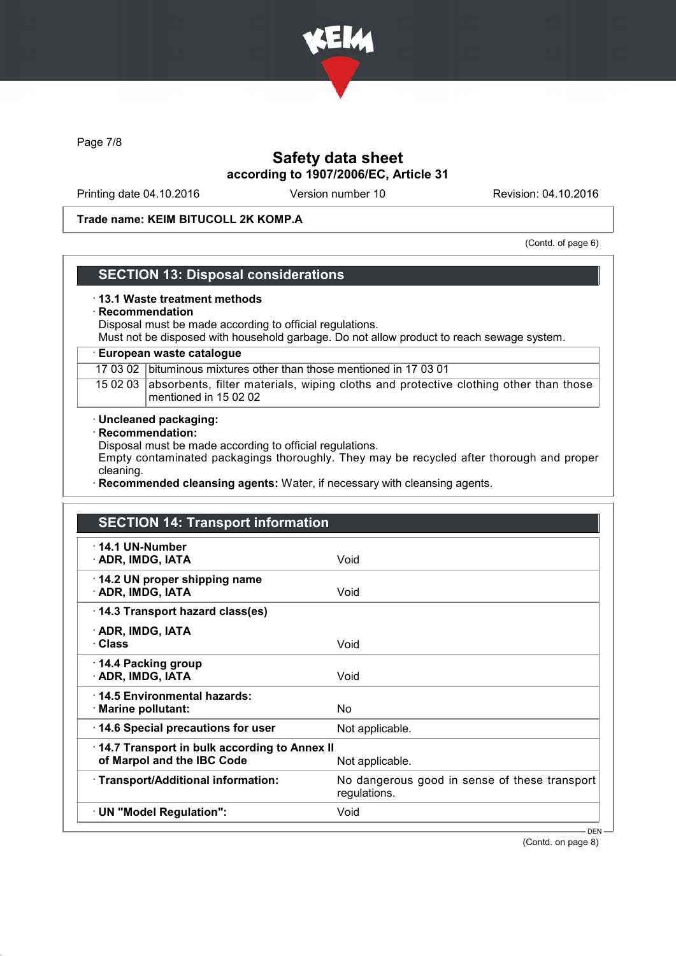

Page 7/8

# Safety data sheet according to 1907/2006/EC, Article 31

Printing date 04.10.2016 Version number 10 Revision: 04.10.2016

#### Trade name: KEIM BITUCOLL 2K KOMP.A

(Contd. of page 6)

## SECTION 13: Disposal considerations

#### · 13.1 Waste treatment methods

#### · Recommendation

Disposal must be made according to official regulations.

Must not be disposed with household garbage. Do not allow product to reach sewage system.

#### · European waste catalogue

17 03 02 bituminous mixtures other than those mentioned in 17 03 01

15 02 03 absorbents, filter materials, wiping cloths and protective clothing other than those mentioned in 15 02 02

#### · Uncleaned packaging:

· Recommendation:

Disposal must be made according to official regulations.

Empty contaminated packagings thoroughly. They may be recycled after thorough and proper cleaning.

Recommended cleansing agents: Water, if necessary with cleansing agents.

| <b>SECTION 14: Transport information</b>                                   |                                                               |
|----------------------------------------------------------------------------|---------------------------------------------------------------|
| $\cdot$ 14.1 UN-Number<br>· ADR, IMDG, IATA                                | Void                                                          |
| 14.2 UN proper shipping name<br>· ADR, IMDG, IATA                          | Void                                                          |
| 14.3 Transport hazard class(es)                                            |                                                               |
| · ADR, IMDG, IATA<br>· Class                                               | Void                                                          |
| ⋅ 14.4 Packing group<br>· ADR, IMDG, IATA                                  | Void                                                          |
| 14.5 Environmental hazards:<br>· Marine pollutant:                         | No                                                            |
| 14.6 Special precautions for user                                          | Not applicable.                                               |
| 14.7 Transport in bulk according to Annex II<br>of Marpol and the IBC Code | Not applicable.                                               |
| · Transport/Additional information:                                        | No dangerous good in sense of these transport<br>regulations. |
| · UN "Model Regulation":                                                   | Void                                                          |

(Contd. on page 8)